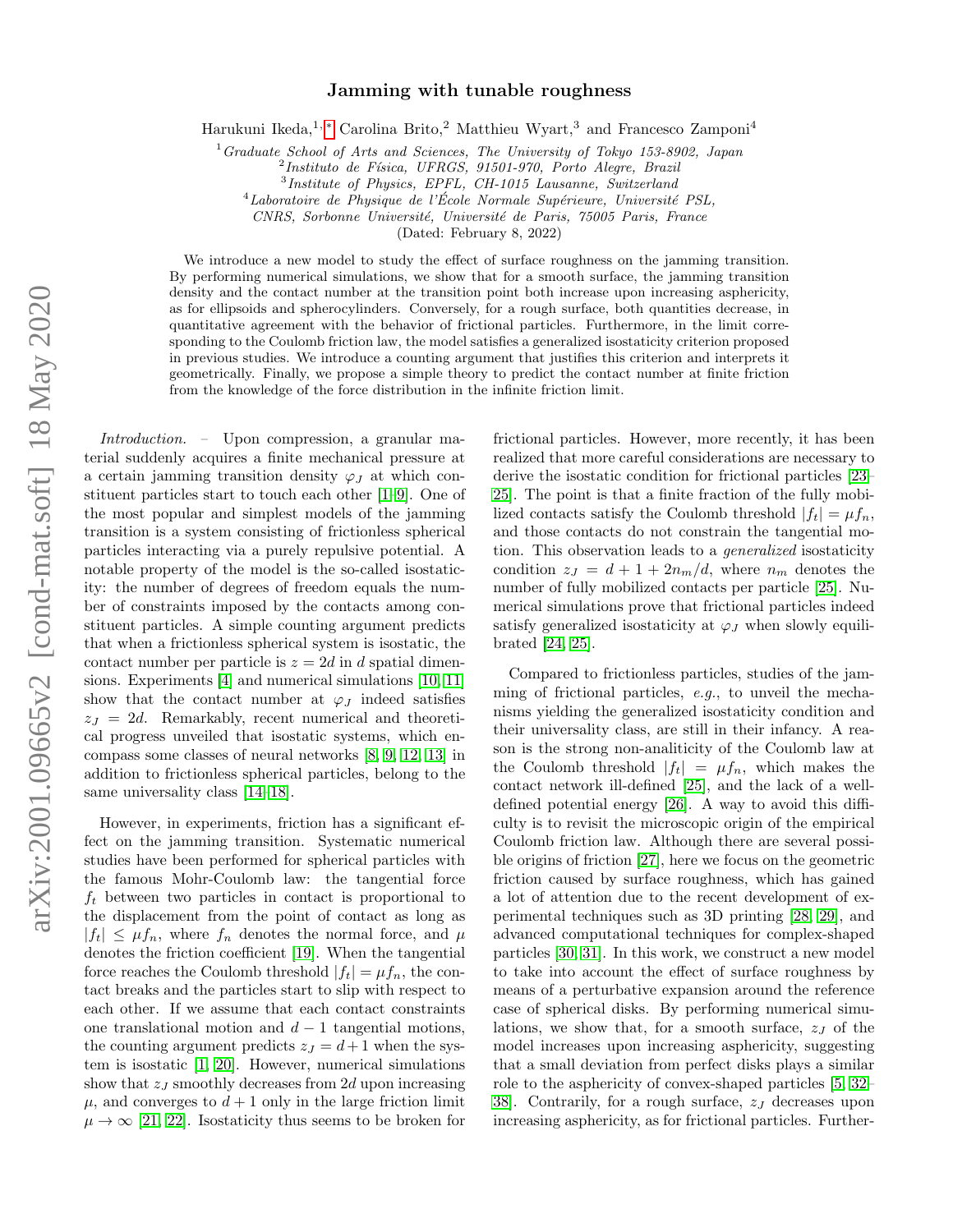## Jamming with tunable roughness

Harukuni Ikeda,<sup>1,\*</sup> Carolina Brito,<sup>2</sup> Matthieu Wyart,<sup>3</sup> and Francesco Zamponi<sup>4</sup>

 $1$  Graduate School of Arts and Sciences, The University of Tokyo 153-8902, Japan

<sup>2</sup> Instituto de Física, UFRGS, 91501-970, Porto Alegre, Brazil

3 Institute of Physics, EPFL, CH-1015 Lausanne, Switzerland

 $^{4}$ Laboratoire de Physique de l'École Normale Supérieure, Université PSL,

CNRS, Sorbonne Université, Université de Paris, 75005 Paris, France

(Dated: February 8, 2022)

We introduce a new model to study the effect of surface roughness on the jamming transition. By performing numerical simulations, we show that for a smooth surface, the jamming transition density and the contact number at the transition point both increase upon increasing asphericity, as for ellipsoids and spherocylinders. Conversely, for a rough surface, both quantities decrease, in quantitative agreement with the behavior of frictional particles. Furthermore, in the limit corresponding to the Coulomb friction law, the model satisfies a generalized isostaticity criterion proposed in previous studies. We introduce a counting argument that justifies this criterion and interprets it geometrically. Finally, we propose a simple theory to predict the contact number at finite friction from the knowledge of the force distribution in the infinite friction limit.

Introduction. – Upon compression, a granular material suddenly acquires a finite mechanical pressure at a certain jamming transition density  $\varphi_I$  at which constituent particles start to touch each other [\[1–](#page-4-1)[9\]](#page-4-2). One of the most popular and simplest models of the jamming transition is a system consisting of frictionless spherical particles interacting via a purely repulsive potential. A notable property of the model is the so-called isostaticity: the number of degrees of freedom equals the number of constraints imposed by the contacts among constituent particles. A simple counting argument predicts that when a frictionless spherical system is isostatic, the contact number per particle is  $z = 2d$  in d spatial dimensions. Experiments [\[4\]](#page-4-3) and numerical simulations [\[10,](#page-4-4) [11\]](#page-4-5) show that the contact number at  $\varphi_J$  indeed satisfies  $z_J = 2d$ . Remarkably, recent numerical and theoretical progress unveiled that isostatic systems, which encompass some classes of neural networks [\[8,](#page-4-6) [9,](#page-4-2) [12,](#page-4-7) [13\]](#page-4-8) in addition to frictionless spherical particles, belong to the same universality class [\[14–](#page-4-9)[18\]](#page-4-10).

However, in experiments, friction has a significant effect on the jamming transition. Systematic numerical studies have been performed for spherical particles with the famous Mohr-Coulomb law: the tangential force  $f_t$  between two particles in contact is proportional to the displacement from the point of contact as long as  $|f_t| \leq \mu f_n$ , where  $f_n$  denotes the normal force, and  $\mu$ denotes the friction coefficient [\[19\]](#page-4-11). When the tangential force reaches the Coulomb threshold  $|f_t| = \mu f_n$ , the contact breaks and the particles start to slip with respect to each other. If we assume that each contact constraints one translational motion and  $d-1$  tangential motions, the counting argument predicts  $z_I = d+1$  when the system is isostatic [\[1,](#page-4-1) [20\]](#page-4-12). However, numerical simulations show that  $z_J$  smoothly decreases from 2d upon increasing  $\mu$ , and converges to  $d+1$  only in the large friction limit  $\mu \to \infty$  [\[21,](#page-4-13) [22\]](#page-4-14). Isostaticity thus seems to be broken for

frictional particles. However, more recently, it has been realized that more careful considerations are necessary to derive the isostatic condition for frictional particles [\[23–](#page-4-15) [25\]](#page-4-16). The point is that a finite fraction of the fully mobilized contacts satisfy the Coulomb threshold  $|f_t| = \mu f_n$ , and those contacts do not constrain the tangential motion. This observation leads to a generalized isostaticity condition  $z_J = d + 1 + 2n_m/d$ , where  $n_m$  denotes the number of fully mobilized contacts per particle [\[25\]](#page-4-16). Numerical simulations prove that frictional particles indeed satisfy generalized isostaticity at  $\varphi_J$  when slowly equilibrated [\[24,](#page-4-17) [25\]](#page-4-16).

Compared to frictionless particles, studies of the jamming of frictional particles, e.g., to unveil the mechanisms yielding the generalized isostaticity condition and their universality class, are still in their infancy. A reason is the strong non-analiticity of the Coulomb law at the Coulomb threshold  $|f_t| = \mu f_n$ , which makes the contact network ill-defined [\[25\]](#page-4-16), and the lack of a welldefined potential energy [\[26\]](#page-4-18). A way to avoid this difficulty is to revisit the microscopic origin of the empirical Coulomb friction law. Although there are several possible origins of friction [\[27\]](#page-4-19), here we focus on the geometric friction caused by surface roughness, which has gained a lot of attention due to the recent development of experimental techniques such as 3D printing [\[28,](#page-4-20) [29\]](#page-4-21), and advanced computational techniques for complex-shaped particles [\[30,](#page-4-22) [31\]](#page-4-23). In this work, we construct a new model to take into account the effect of surface roughness by means of a perturbative expansion around the reference case of spherical disks. By performing numerical simulations, we show that, for a smooth surface,  $z_j$  of the model increases upon increasing asphericity, suggesting that a small deviation from perfect disks plays a similar role to the asphericity of convex-shaped particles [\[5,](#page-4-24) [32–](#page-4-25) [38\]](#page-4-26). Contrarily, for a rough surface,  $z_j$  decreases upon increasing asphericity, as for frictional particles. Further-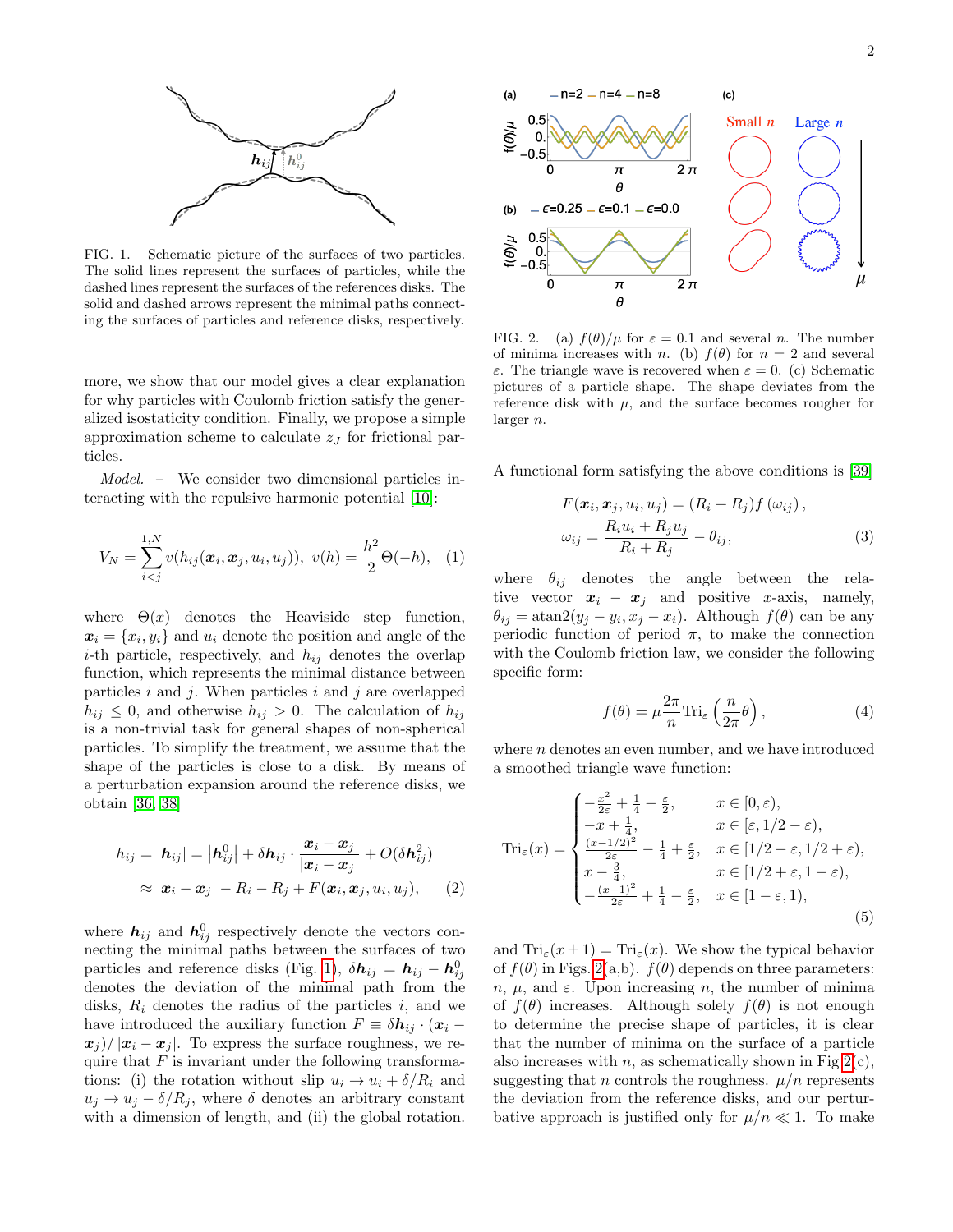

<span id="page-1-0"></span>FIG. 1. Schematic picture of the surfaces of two particles. The solid lines represent the surfaces of particles, while the dashed lines represent the surfaces of the references disks. The solid and dashed arrows represent the minimal paths connecting the surfaces of particles and reference disks, respectively.

more, we show that our model gives a clear explanation for why particles with Coulomb friction satisfy the generalized isostaticity condition. Finally, we propose a simple approximation scheme to calculate  $z_j$  for frictional particles.

Model. – We consider two dimensional particles interacting with the repulsive harmonic potential [\[10\]](#page-4-4):

$$
V_N = \sum_{i < j}^{1,N} v(h_{ij}(\boldsymbol{x}_i, \boldsymbol{x}_j, u_i, u_j)), \ v(h) = \frac{h^2}{2} \Theta(-h), \tag{1}
$$

where  $\Theta(x)$  denotes the Heaviside step function,  $\boldsymbol{x}_i = \{x_i, y_i\}$  and  $u_i$  denote the position and angle of the *i*-th particle, respectively, and  $h_{ij}$  denotes the overlap function, which represents the minimal distance between particles  $i$  and  $j$ . When particles  $i$  and  $j$  are overlapped  $h_{ij} \leq 0$ , and otherwise  $h_{ij} > 0$ . The calculation of  $h_{ij}$ is a non-trivial task for general shapes of non-spherical particles. To simplify the treatment, we assume that the shape of the particles is close to a disk. By means of a perturbation expansion around the reference disks, we obtain [\[36,](#page-4-27) [38\]](#page-4-26)

$$
h_{ij} = |\mathbf{h}_{ij}| = |\mathbf{h}_{ij}^0| + \delta \mathbf{h}_{ij} \cdot \frac{\mathbf{x}_i - \mathbf{x}_j}{|\mathbf{x}_i - \mathbf{x}_j|} + O(\delta \mathbf{h}_{ij}^2)
$$
  

$$
\approx |\mathbf{x}_i - \mathbf{x}_j| - R_i - R_j + F(\mathbf{x}_i, \mathbf{x}_j, u_i, u_j), \qquad (2)
$$

where  $h_{ij}$  and  $h_{ij}^0$  respectively denote the vectors connecting the minimal paths between the surfaces of two particles and reference disks (Fig. [1\)](#page-1-0),  $\delta \boldsymbol{h}_{ij} = \boldsymbol{h}_{ij} - \boldsymbol{h}_{ij}^0$ denotes the deviation of the minimal path from the disks,  $R_i$  denotes the radius of the particles i, and we have introduced the auxiliary function  $F \equiv \delta \mathbf{h}_{ij} \cdot (\mathbf{x}_i$  $x_i$  /  $|x_i - x_j|$ . To express the surface roughness, we require that  $F$  is invariant under the following transformations: (i) the rotation without slip  $u_i \rightarrow u_i + \delta/R_i$  and  $u_i \rightarrow u_j - \delta/R_i$ , where  $\delta$  denotes an arbitrary constant with a dimension of length, and (ii) the global rotation.



<span id="page-1-1"></span>FIG. 2. (a)  $f(\theta)/\mu$  for  $\varepsilon = 0.1$  and several n. The number of minima increases with n. (b)  $f(\theta)$  for  $n = 2$  and several ε. The triangle wave is recovered when ε = 0. (c) Schematic pictures of a particle shape. The shape deviates from the reference disk with  $\mu$ , and the surface becomes rougher for larger n.

A functional form satisfying the above conditions is [\[39\]](#page-5-0)

$$
F(\boldsymbol{x}_i, \boldsymbol{x}_j, u_i, u_j) = (R_i + R_j) f(\omega_{ij}),
$$
  
\n
$$
\omega_{ij} = \frac{R_i u_i + R_j u_j}{R_i + R_j} - \theta_{ij},
$$
\n(3)

where  $\theta_{ij}$  denotes the angle between the relative vector  $x_i - x_j$  and positive x-axis, namely,  $\theta_{ij} = \text{atan2}(y_j - y_i, x_j - x_i)$ . Although  $f(\theta)$  can be any periodic function of period  $\pi$ , to make the connection with the Coulomb friction law, we consider the following specific form:

<span id="page-1-2"></span>
$$
f(\theta) = \mu \frac{2\pi}{n} \text{Tri}_{\varepsilon} \left( \frac{n}{2\pi} \theta \right),\tag{4}
$$

where  $n$  denotes an even number, and we have introduced a smoothed triangle wave function:

$$
\operatorname{Tri}_{\varepsilon}(x) = \begin{cases}\n-\frac{x^2}{2\varepsilon} + \frac{1}{4} - \frac{\varepsilon}{2}, & x \in [0, \varepsilon), \\
-x + \frac{1}{4}, & x \in [\varepsilon, 1/2 - \varepsilon), \\
\frac{(x - 1/2)^2}{2\varepsilon} - \frac{1}{4} + \frac{\varepsilon}{2}, & x \in [1/2 - \varepsilon, 1/2 + \varepsilon), \\
x - \frac{3}{4}, & x \in [1/2 + \varepsilon, 1 - \varepsilon), \\
-\frac{(x - 1)^2}{2\varepsilon} + \frac{1}{4} - \frac{\varepsilon}{2}, & x \in [1 - \varepsilon, 1),\n\end{cases}
$$
\n(5)

and  $\text{Tri}_{\varepsilon}(x \pm 1) = \text{Tri}_{\varepsilon}(x)$ . We show the typical behavior of  $f(\theta)$  in Figs. [2\(](#page-1-1)a,b).  $f(\theta)$  depends on three parameters:  $n, \mu$ , and  $\varepsilon$ . Upon increasing n, the number of minima of  $f(\theta)$  increases. Although solely  $f(\theta)$  is not enough to determine the precise shape of particles, it is clear that the number of minima on the surface of a particle also increases with *n*, as schematically shown in Fig  $2(c)$ , suggesting that n controls the roughness.  $\mu/n$  represents the deviation from the reference disks, and our perturbative approach is justified only for  $\mu/n \ll 1$ . To make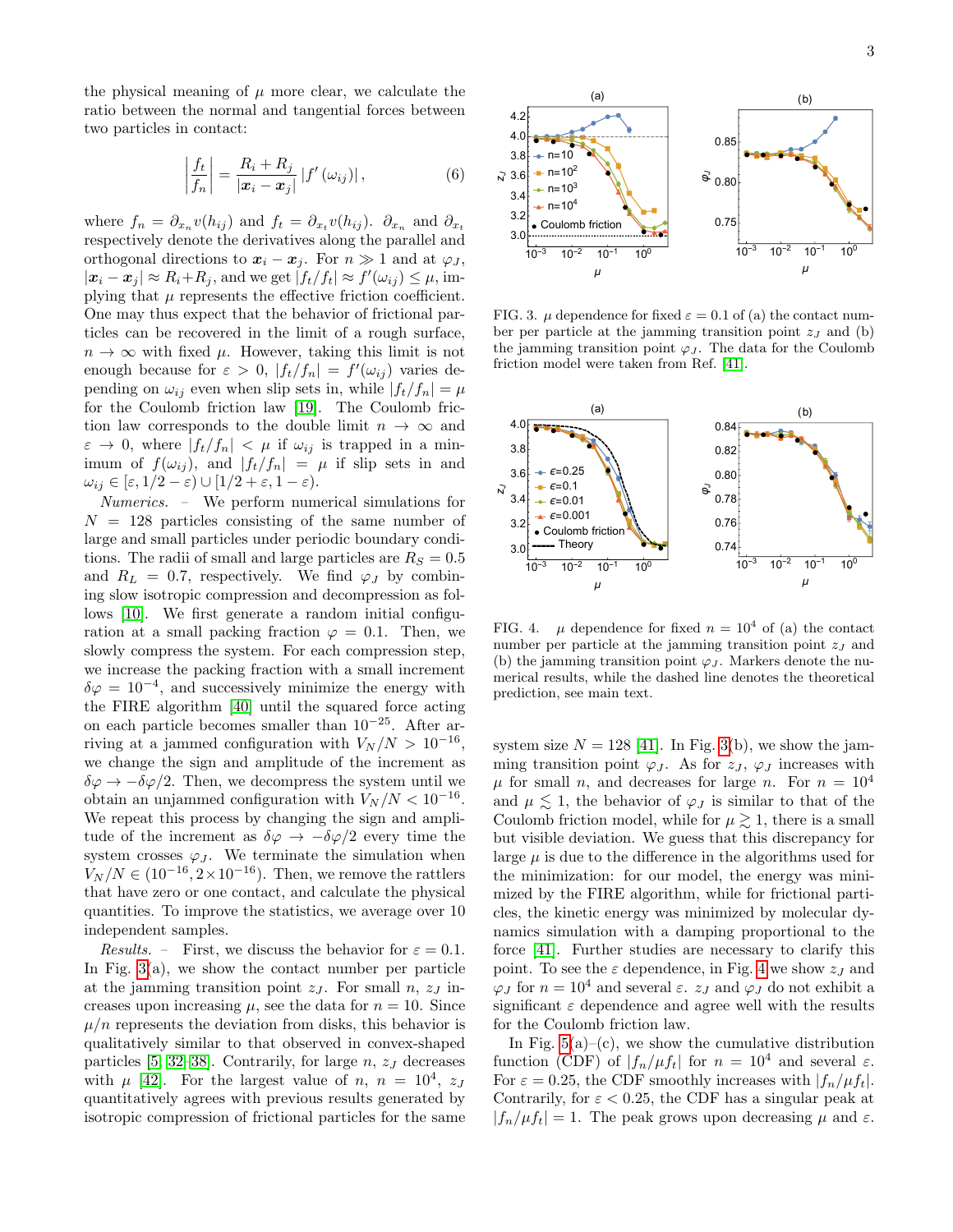the physical meaning of  $\mu$  more clear, we calculate the ratio between the normal and tangential forces between two particles in contact:

$$
\left|\frac{f_t}{f_n}\right| = \frac{R_i + R_j}{|\mathbf{x}_i - \mathbf{x}_j|} |f'(\omega_{ij})|,\tag{6}
$$

where  $f_n = \partial_{x_n} v(h_{ij})$  and  $f_t = \partial_{x_t} v(h_{ij})$ .  $\partial_{x_n}$  and  $\partial_{x_t}$ respectively denote the derivatives along the parallel and orthogonal directions to  $x_i - x_j$ . For  $n \gg 1$  and at  $\varphi_j$ ,  $|\boldsymbol{x}_i - \boldsymbol{x}_j| \approx R_i + R_j$ , and we get  $|f_t/f_t| \approx f'(\omega_{ij}) \leq \mu$ , implying that  $\mu$  represents the effective friction coefficient. One may thus expect that the behavior of frictional particles can be recovered in the limit of a rough surface,  $n \to \infty$  with fixed  $\mu$ . However, taking this limit is not enough because for  $\varepsilon > 0$ ,  $|f_t/f_n| = f'(\omega_{ij})$  varies depending on  $\omega_{ij}$  even when slip sets in, while  $|f_t/f_n| = \mu$ for the Coulomb friction law [\[19\]](#page-4-11). The Coulomb friction law corresponds to the double limit  $n \to \infty$  and  $\varepsilon \to 0$ , where  $|f_t/f_n| < \mu$  if  $\omega_{ij}$  is trapped in a minimum of  $f(\omega_{ij})$ , and  $|f_t/f_n| = \mu$  if slip sets in and  $\omega_{ij} \in [\varepsilon, 1/2 - \varepsilon) \cup [1/2 + \varepsilon, 1 - \varepsilon).$ 

Numerics. – We perform numerical simulations for  $N = 128$  particles consisting of the same number of large and small particles under periodic boundary conditions. The radii of small and large particles are  $R<sub>S</sub> = 0.5$ and  $R_L = 0.7$ , respectively. We find  $\varphi_J$  by combining slow isotropic compression and decompression as follows [\[10\]](#page-4-4). We first generate a random initial configuration at a small packing fraction  $\varphi = 0.1$ . Then, we slowly compress the system. For each compression step, we increase the packing fraction with a small increment  $\delta\varphi = 10^{-4}$ , and successively minimize the energy with the FIRE algorithm [\[40\]](#page-5-1) until the squared force acting on each particle becomes smaller than  $10^{-25}$ . After arriving at a jammed configuration with  $V_N/N > 10^{-16}$ , we change the sign and amplitude of the increment as  $\delta\varphi \to -\delta\varphi/2$ . Then, we decompress the system until we obtain an unjammed configuration with  $V_N/N < 10^{-16}$ . We repeat this process by changing the sign and amplitude of the increment as  $\delta\varphi \to -\delta\varphi/2$  every time the system crosses  $\varphi_J$ . We terminate the simulation when  $V_N/N \in (10^{-16}, 2 \times 10^{-16})$ . Then, we remove the rattlers that have zero or one contact, and calculate the physical quantities. To improve the statistics, we average over 10 independent samples.

*Results.* – First, we discuss the behavior for  $\varepsilon = 0.1$ . In Fig.  $3(a)$ , we show the contact number per particle at the jamming transition point  $z_J$ . For small  $n, z_J$  increases upon increasing  $\mu$ , see the data for  $n = 10$ . Since  $\mu/n$  represents the deviation from disks, this behavior is qualitatively similar to that observed in convex-shaped particles [\[5,](#page-4-24) [32–](#page-4-25)[38\]](#page-4-26). Contrarily, for large  $n$ ,  $z<sub>J</sub>$  decreases with  $\mu$  [\[42\]](#page-5-2). For the largest value of n,  $n = 10^4$ , z quantitatively agrees with previous results generated by isotropic compression of frictional particles for the same



<span id="page-2-0"></span>FIG. 3.  $\mu$  dependence for fixed  $\varepsilon = 0.1$  of (a) the contact number per particle at the jamming transition point  $z_j$  and (b) the jamming transition point  $\varphi_J$ . The data for the Coulomb friction model were taken from Ref. [\[41\]](#page-5-3).



<span id="page-2-1"></span>FIG. 4.  $\mu$  dependence for fixed  $n = 10^4$  of (a) the contact number per particle at the jamming transition point  $z_I$  and (b) the jamming transition point  $\varphi_J$ . Markers denote the numerical results, while the dashed line denotes the theoretical prediction, see main text.

system size  $N = 128$  [\[41\]](#page-5-3). In Fig. [3\(](#page-2-0)b), we show the jamming transition point  $\varphi_J$ . As for  $z_J$ ,  $\varphi_J$  increases with  $\mu$  for small *n*, and decreases for large *n*. For  $n = 10^4$ and  $\mu \lesssim 1$ , the behavior of  $\varphi_J$  is similar to that of the Coulomb friction model, while for  $\mu \gtrsim 1$ , there is a small but visible deviation. We guess that this discrepancy for large  $\mu$  is due to the difference in the algorithms used for the minimization: for our model, the energy was minimized by the FIRE algorithm, while for frictional particles, the kinetic energy was minimized by molecular dynamics simulation with a damping proportional to the force [\[41\]](#page-5-3). Further studies are necessary to clarify this point. To see the  $\varepsilon$  dependence, in Fig. [4](#page-2-1) we show  $z_j$  and  $\varphi_J$  for  $n = 10^4$  and several  $\varepsilon$ .  $z_J$  and  $\varphi_J$  do not exhibit a significant  $\varepsilon$  dependence and agree well with the results for the Coulomb friction law.

In Fig.  $5(a)$ –(c), we show the cumulative distribution function (CDF) of  $|f_n/\mu f_t|$  for  $n = 10^4$  and several  $\varepsilon$ . For  $\varepsilon = 0.25$ , the CDF smoothly increases with  $|f_n/\mu f_t|$ . Contrarily, for  $\varepsilon < 0.25$ , the CDF has a singular peak at  $|f_n/\mu f_t| = 1$ . The peak grows upon decreasing  $\mu$  and  $\varepsilon$ .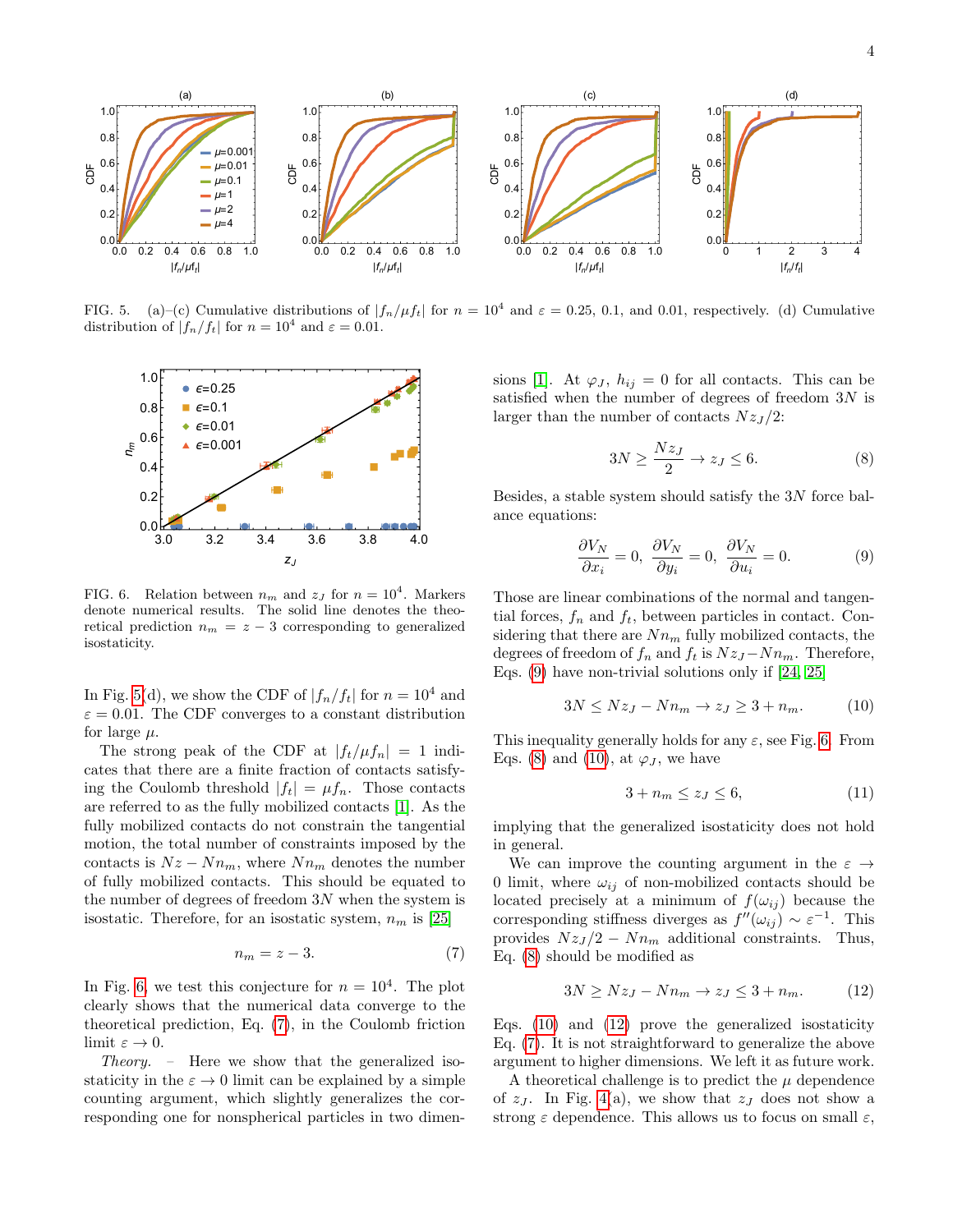

<span id="page-3-0"></span>FIG. 5. (a)–(c) Cumulative distributions of  $|f_n/\mu f_t|$  for  $n = 10^4$  and  $\varepsilon = 0.25, 0.1$ , and 0.01, respectively. (d) Cumulative distribution of  $|f_n/f_t|$  for  $n = 10^4$  and  $\varepsilon = 0.01$ .



<span id="page-3-1"></span>FIG. 6. Relation between  $n_m$  and  $z_J$  for  $n = 10^4$ . Markers denote numerical results. The solid line denotes the theoretical prediction  $n_m = z - 3$  corresponding to generalized isostaticity.

In Fig. [5\(](#page-3-0)d), we show the CDF of  $|f_n/f_t|$  for  $n = 10^4$  and  $\varepsilon = 0.01$ . The CDF converges to a constant distribution for large  $\mu$ .

The strong peak of the CDF at  $|f_t/\mu f_n| = 1$  indicates that there are a finite fraction of contacts satisfying the Coulomb threshold  $|f_t| = \mu f_n$ . Those contacts are referred to as the fully mobilized contacts [\[1\]](#page-4-1). As the fully mobilized contacts do not constrain the tangential motion, the total number of constraints imposed by the contacts is  $Nz - Nn_m$ , where  $Nn_m$  denotes the number of fully mobilized contacts. This should be equated to the number of degrees of freedom  $3N$  when the system is isostatic. Therefore, for an isostatic system,  $n_m$  is [\[25\]](#page-4-16)

$$
n_m = z - 3.\t\t(7)
$$

In Fig. [6,](#page-3-1) we test this conjecture for  $n = 10^4$ . The plot clearly shows that the numerical data converge to the theoretical prediction, Eq. [\(7\)](#page-3-2), in the Coulomb friction limit  $\varepsilon \to 0$ .

Theory. – Here we show that the generalized isostaticity in the  $\varepsilon \to 0$  limit can be explained by a simple counting argument, which slightly generalizes the corresponding one for nonspherical particles in two dimen-

sions [\[1\]](#page-4-1). At  $\varphi_j$ ,  $h_{ij} = 0$  for all contacts. This can be satisfied when the number of degrees of freedom  $3N$  is larger than the number of contacts  $Nz_J/2$ :

<span id="page-3-4"></span><span id="page-3-3"></span>
$$
3N \ge \frac{Nz_J}{2} \to z_J \le 6. \tag{8}
$$

Besides, a stable system should satisfy the 3N force balance equations:

$$
\frac{\partial V_N}{\partial x_i} = 0, \ \frac{\partial V_N}{\partial y_i} = 0, \ \frac{\partial V_N}{\partial u_i} = 0.
$$
 (9)

Those are linear combinations of the normal and tangential forces,  $f_n$  and  $f_t$ , between particles in contact. Considering that there are  $Nn_m$  fully mobilized contacts, the degrees of freedom of  $f_n$  and  $f_t$  is  $Nz_J - Nn_m$ . Therefore, Eqs. [\(9\)](#page-3-3) have non-trivial solutions only if [\[24,](#page-4-17) [25\]](#page-4-16)

$$
3N \le Nz_J - Nn_m \to z_J \ge 3 + n_m. \tag{10}
$$

This inequality generally holds for any  $\varepsilon$ , see Fig. [6.](#page-3-1) From Eqs. [\(8\)](#page-3-4) and [\(10\)](#page-3-5), at  $\varphi_J$ , we have

<span id="page-3-5"></span>
$$
3 + n_m \le z_J \le 6,\tag{11}
$$

implying that the generalized isostaticity does not hold in general.

<span id="page-3-2"></span>We can improve the counting argument in the  $\varepsilon \rightarrow$ 0 limit, where  $\omega_{ij}$  of non-mobilized contacts should be located precisely at a minimum of  $f(\omega_{ij})$  because the corresponding stiffness diverges as  $f''(\omega_{ij}) \sim \varepsilon^{-1}$ . This provides  $Nz_J/2 - Nn_m$  additional constraints. Thus, Eq. [\(8\)](#page-3-4) should be modified as

<span id="page-3-6"></span>
$$
3N \ge Nz_J - Nn_m \to z_J \le 3 + n_m. \tag{12}
$$

Eqs. [\(10\)](#page-3-5) and [\(12\)](#page-3-6) prove the generalized isostaticity Eq. [\(7\)](#page-3-2). It is not straightforward to generalize the above argument to higher dimensions. We left it as future work.

A theoretical challenge is to predict the  $\mu$  dependence of  $z_J$ . In Fig. [4\(](#page-2-1)a), we show that  $z_J$  does not show a strong  $\varepsilon$  dependence. This allows us to focus on small  $\varepsilon$ ,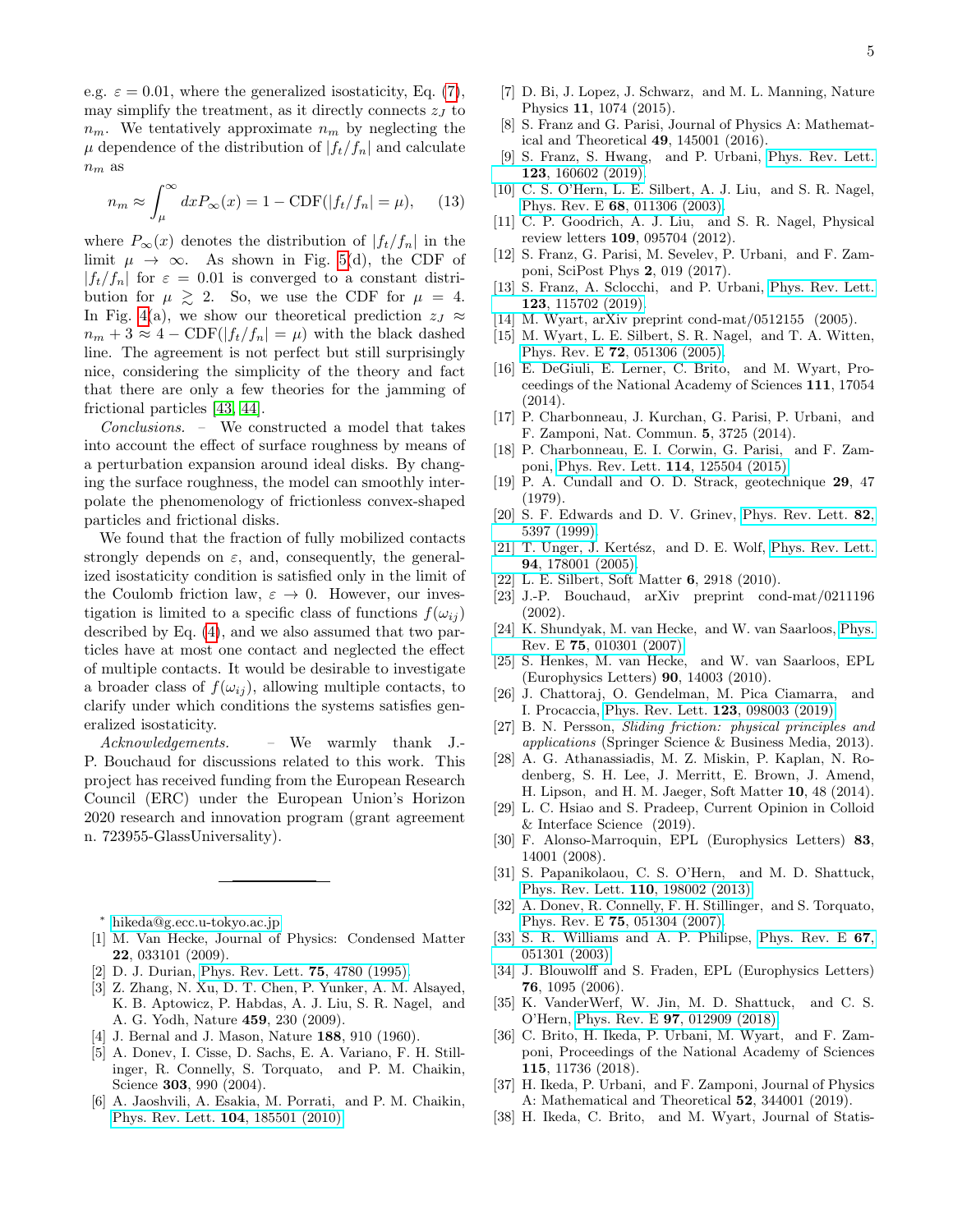e.g.  $\varepsilon = 0.01$ , where the generalized isostaticity, Eq. [\(7\)](#page-3-2), may simplify the treatment, as it directly connects  $z_J$  to  $n_m$ . We tentatively approximate  $n_m$  by neglecting the  $\mu$  dependence of the distribution of  $|f_t/f_n|$  and calculate  $n_m$  as

$$
n_m \approx \int_{\mu}^{\infty} dx P_{\infty}(x) = 1 - \text{CDF}(|f_t/f_n| = \mu), \quad (13)
$$

where  $P_{\infty}(x)$  denotes the distribution of  $|f_t/f_n|$  in the limit  $\mu \to \infty$ . As shown in Fig. [5\(](#page-3-0)d), the CDF of  $|f_t/f_n|$  for  $\varepsilon = 0.01$  is converged to a constant distribution for  $\mu \geq 2$ . So, we use the CDF for  $\mu = 4$ . In Fig. [4\(](#page-2-1)a), we show our theoretical prediction  $z_J \approx$  $n_m + 3 \approx 4 - \text{CDF}(|f_t/f_n| = \mu)$  with the black dashed line. The agreement is not perfect but still surprisingly nice, considering the simplicity of the theory and fact that there are only a few theories for the jamming of frictional particles [\[43,](#page-5-4) [44\]](#page-5-5).

Conclusions. – We constructed a model that takes into account the effect of surface roughness by means of a perturbation expansion around ideal disks. By changing the surface roughness, the model can smoothly interpolate the phenomenology of frictionless convex-shaped particles and frictional disks.

We found that the fraction of fully mobilized contacts strongly depends on  $\varepsilon$ , and, consequently, the generalized isostaticity condition is satisfied only in the limit of the Coulomb friction law,  $\varepsilon \to 0$ . However, our investigation is limited to a specific class of functions  $f(\omega_{ij})$ described by Eq. [\(4\)](#page-1-2), and we also assumed that two particles have at most one contact and neglected the effect of multiple contacts. It would be desirable to investigate a broader class of  $f(\omega_{ii})$ , allowing multiple contacts, to clarify under which conditions the systems satisfies generalized isostaticity.

Acknowledgements. – We warmly thank J.- P. Bouchaud for discussions related to this work. This project has received funding from the European Research Council (ERC) under the European Union's Horizon 2020 research and innovation program (grant agreement n. 723955-GlassUniversality).

- <span id="page-4-0"></span><sup>∗</sup> [hikeda@g.ecc.u-tokyo.ac.jp](mailto:hikeda@g.ecc.u-tokyo.ac.jp)
- <span id="page-4-1"></span>[1] M. Van Hecke, Journal of Physics: Condensed Matter 22, 033101 (2009).
- [2] D. J. Durian, [Phys. Rev. Lett.](http://dx.doi.org/10.1103/PhysRevLett.75.4780) 75, 4780 (1995).
- [3] Z. Zhang, N. Xu, D. T. Chen, P. Yunker, A. M. Alsayed, K. B. Aptowicz, P. Habdas, A. J. Liu, S. R. Nagel, and A. G. Yodh, Nature 459, 230 (2009).
- <span id="page-4-3"></span>[4] J. Bernal and J. Mason, Nature 188, 910 (1960).
- <span id="page-4-24"></span>[5] A. Donev, I. Cisse, D. Sachs, E. A. Variano, F. H. Stillinger, R. Connelly, S. Torquato, and P. M. Chaikin, Science 303, 990 (2004).
- [6] A. Jaoshvili, A. Esakia, M. Porrati, and P. M. Chaikin, [Phys. Rev. Lett.](http://dx.doi.org/10.1103/PhysRevLett.104.185501) 104, 185501 (2010).
- [7] D. Bi, J. Lopez, J. Schwarz, and M. L. Manning, Nature Physics 11, 1074 (2015).
- <span id="page-4-6"></span>[8] S. Franz and G. Parisi, Journal of Physics A: Mathematical and Theoretical 49, 145001 (2016).
- <span id="page-4-2"></span>[9] S. Franz, S. Hwang, and P. Urbani, [Phys. Rev. Lett.](http://dx.doi.org/10.1103/PhysRevLett.123.160602) 123[, 160602 \(2019\).](http://dx.doi.org/10.1103/PhysRevLett.123.160602)
- <span id="page-4-4"></span>[10] C. S. O'Hern, L. E. Silbert, A. J. Liu, and S. R. Nagel, Phys. Rev. E 68[, 011306 \(2003\).](http://dx.doi.org/10.1103/PhysRevE.68.011306)
- <span id="page-4-5"></span>[11] C. P. Goodrich, A. J. Liu, and S. R. Nagel, Physical review letters 109, 095704 (2012).
- <span id="page-4-7"></span>[12] S. Franz, G. Parisi, M. Sevelev, P. Urbani, and F. Zamponi, SciPost Phys 2, 019 (2017).
- <span id="page-4-8"></span>[13] S. Franz, A. Sclocchi, and P. Urbani, [Phys. Rev. Lett.](http://dx.doi.org/10.1103/PhysRevLett.123.115702) 123[, 115702 \(2019\).](http://dx.doi.org/10.1103/PhysRevLett.123.115702)
- <span id="page-4-9"></span>[14] M. Wyart, arXiv preprint cond-mat/0512155 (2005).
- [15] M. Wyart, L. E. Silbert, S. R. Nagel, and T. A. Witten, Phys. Rev. E 72[, 051306 \(2005\).](http://dx.doi.org/10.1103/PhysRevE.72.051306)
- [16] E. DeGiuli, E. Lerner, C. Brito, and M. Wyart, Proceedings of the National Academy of Sciences 111, 17054 (2014).
- [17] P. Charbonneau, J. Kurchan, G. Parisi, P. Urbani, and F. Zamponi, Nat. Commun. 5, 3725 (2014).
- <span id="page-4-10"></span>[18] P. Charbonneau, E. I. Corwin, G. Parisi, and F. Zamponi, [Phys. Rev. Lett.](http://dx.doi.org/10.1103/PhysRevLett.114.125504) 114, 125504 (2015).
- <span id="page-4-11"></span>[19] P. A. Cundall and O. D. Strack, geotechnique 29, 47 (1979).
- <span id="page-4-12"></span>[20] S. F. Edwards and D. V. Grinev, [Phys. Rev. Lett.](http://dx.doi.org/10.1103/PhysRevLett.82.5397) 82, [5397 \(1999\).](http://dx.doi.org/10.1103/PhysRevLett.82.5397)
- <span id="page-4-13"></span>[21] T. Unger, J. Kertész, and D. E. Wolf, [Phys. Rev. Lett.](http://dx.doi.org/10.1103/PhysRevLett.94.178001) 94[, 178001 \(2005\).](http://dx.doi.org/10.1103/PhysRevLett.94.178001)
- <span id="page-4-14"></span>[22] L. E. Silbert, Soft Matter 6, 2918 (2010).
- <span id="page-4-15"></span>[23] J.-P. Bouchaud, arXiv preprint cond-mat/0211196  $(2002)$ .
- <span id="page-4-17"></span>[24] K. Shundyak, M. van Hecke, and W. van Saarloos, [Phys.](http://dx.doi.org/10.1103/PhysRevE.75.010301) Rev. E 75[, 010301 \(2007\).](http://dx.doi.org/10.1103/PhysRevE.75.010301)
- <span id="page-4-16"></span>[25] S. Henkes, M. van Hecke, and W. van Saarloos, EPL (Europhysics Letters) 90, 14003 (2010).
- <span id="page-4-18"></span>[26] J. Chattoraj, O. Gendelman, M. Pica Ciamarra, and I. Procaccia, [Phys. Rev. Lett.](http://dx.doi.org/10.1103/PhysRevLett.123.098003) 123, 098003 (2019).
- <span id="page-4-19"></span>[27] B. N. Persson, Sliding friction: physical principles and applications (Springer Science & Business Media, 2013).
- <span id="page-4-20"></span>[28] A. G. Athanassiadis, M. Z. Miskin, P. Kaplan, N. Rodenberg, S. H. Lee, J. Merritt, E. Brown, J. Amend, H. Lipson, and H. M. Jaeger, Soft Matter 10, 48 (2014).
- <span id="page-4-21"></span>[29] L. C. Hsiao and S. Pradeep, Current Opinion in Colloid & Interface Science (2019).
- <span id="page-4-22"></span>[30] F. Alonso-Marroquin, EPL (Europhysics Letters) 83, 14001 (2008).
- <span id="page-4-23"></span>[31] S. Papanikolaou, C. S. O'Hern, and M. D. Shattuck, [Phys. Rev. Lett.](http://dx.doi.org/10.1103/PhysRevLett.110.198002) 110, 198002 (2013).
- <span id="page-4-25"></span>[32] A. Donev, R. Connelly, F. H. Stillinger, and S. Torquato, Phys. Rev. E 75[, 051304 \(2007\).](http://dx.doi.org/10.1103/PhysRevE.75.051304)
- [33] S. R. Williams and A. P. Philipse, [Phys. Rev. E](http://dx.doi.org/10.1103/PhysRevE.67.051301) 67, [051301 \(2003\).](http://dx.doi.org/10.1103/PhysRevE.67.051301)
- [34] J. Blouwolff and S. Fraden, EPL (Europhysics Letters) 76, 1095 (2006).
- [35] K. VanderWerf, W. Jin, M. D. Shattuck, and C. S. O'Hern, Phys. Rev. E 97[, 012909 \(2018\).](http://dx.doi.org/10.1103/PhysRevE.97.012909)
- <span id="page-4-27"></span>[36] C. Brito, H. Ikeda, P. Urbani, M. Wyart, and F. Zamponi, Proceedings of the National Academy of Sciences 115, 11736 (2018).
- [37] H. Ikeda, P. Urbani, and F. Zamponi, Journal of Physics A: Mathematical and Theoretical 52, 344001 (2019).
- <span id="page-4-26"></span>[38] H. Ikeda, C. Brito, and M. Wyart, Journal of Statis-